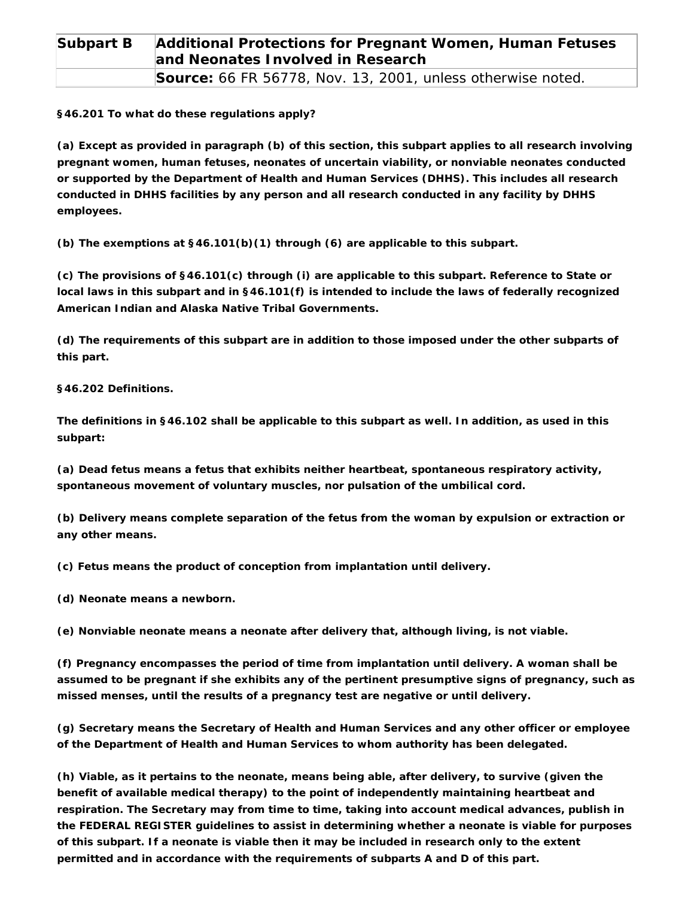| <b>Subpart B</b> | Additional Protections for Pregnant Women, Human Fetuses<br>and Neonates Involved in Research |
|------------------|-----------------------------------------------------------------------------------------------|
|                  | Source: 66 FR 56778, Nov. 13, 2001, unless otherwise noted.                                   |

**§46.201 To what do these regulations apply?**

**(a) Except as provided in paragraph (b) of this section, this subpart applies to all research involving pregnant women, human fetuses, neonates of uncertain viability, or nonviable neonates conducted or supported by the Department of Health and Human Services (DHHS). This includes all research conducted in DHHS facilities by any person and all research conducted in any facility by DHHS employees.**

**(b) The exemptions at §46.101(b)(1) through (6) are applicable to this subpart.**

**(c) The provisions of §46.101(c) through (i) are applicable to this subpart. Reference to State or local laws in this subpart and in §46.101(f) is intended to include the laws of federally recognized American Indian and Alaska Native Tribal Governments.**

**(d) The requirements of this subpart are in addition to those imposed under the other subparts of this part.**

**§46.202 Definitions.**

**The definitions in §46.102 shall be applicable to this subpart as well. In addition, as used in this subpart:**

**(a) Dead fetus means a fetus that exhibits neither heartbeat, spontaneous respiratory activity, spontaneous movement of voluntary muscles, nor pulsation of the umbilical cord.**

**(b) Delivery means complete separation of the fetus from the woman by expulsion or extraction or any other means.**

**(c) Fetus means the product of conception from implantation until delivery.**

**(d) Neonate means a newborn.**

**(e) Nonviable neonate means a neonate after delivery that, although living, is not viable.**

**(f) Pregnancy encompasses the period of time from implantation until delivery. A woman shall be assumed to be pregnant if she exhibits any of the pertinent presumptive signs of pregnancy, such as missed menses, until the results of a pregnancy test are negative or until delivery.**

**(g) Secretary means the Secretary of Health and Human Services and any other officer or employee of the Department of Health and Human Services to whom authority has been delegated.**

**(h) Viable, as it pertains to the neonate, means being able, after delivery, to survive (given the benefit of available medical therapy) to the point of independently maintaining heartbeat and respiration. The Secretary may from time to time, taking into account medical advances, publish in the FEDERAL REGISTER guidelines to assist in determining whether a neonate is viable for purposes of this subpart. If a neonate is viable then it may be included in research only to the extent permitted and in accordance with the requirements of subparts A and D of this part.**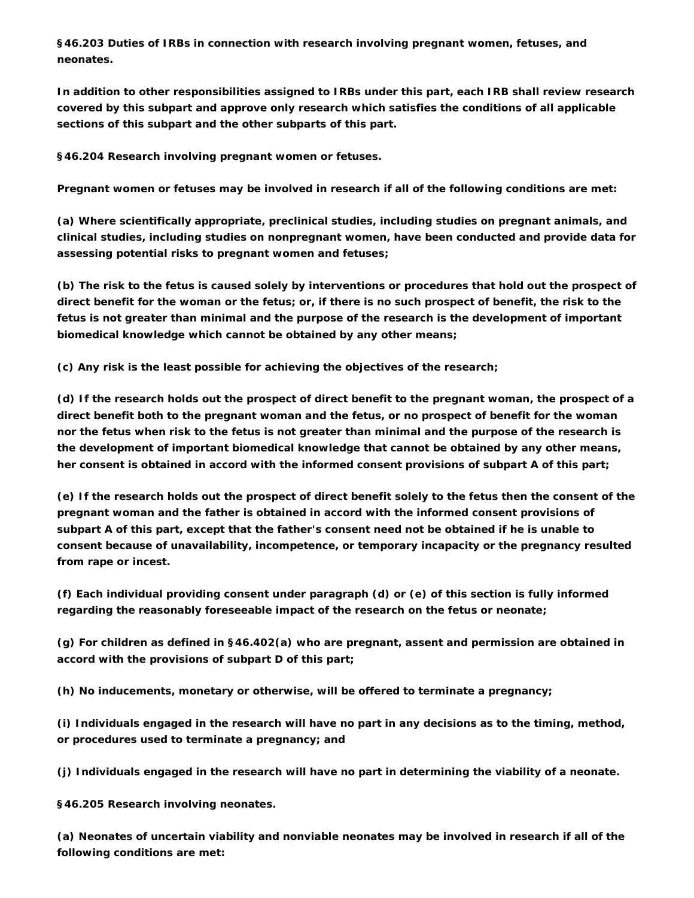**§46.203 Duties of IRBs in connection with research involving pregnant women, fetuses, and neonates.**

**In addition to other responsibilities assigned to IRBs under this part, each IRB shall review research covered by this subpart and approve only research which satisfies the conditions of all applicable sections of this subpart and the other subparts of this part.**

**§46.204 Research involving pregnant women or fetuses.**

**Pregnant women or fetuses may be involved in research if all of the following conditions are met:**

**(a) Where scientifically appropriate, preclinical studies, including studies on pregnant animals, and clinical studies, including studies on nonpregnant women, have been conducted and provide data for assessing potential risks to pregnant women and fetuses;**

**(b) The risk to the fetus is caused solely by interventions or procedures that hold out the prospect of direct benefit for the woman or the fetus; or, if there is no such prospect of benefit, the risk to the fetus is not greater than minimal and the purpose of the research is the development of important biomedical knowledge which cannot be obtained by any other means;**

**(c) Any risk is the least possible for achieving the objectives of the research;**

**(d) If the research holds out the prospect of direct benefit to the pregnant woman, the prospect of a direct benefit both to the pregnant woman and the fetus, or no prospect of benefit for the woman nor the fetus when risk to the fetus is not greater than minimal and the purpose of the research is the development of important biomedical knowledge that cannot be obtained by any other means, her consent is obtained in accord with the informed consent provisions of subpart A of this part;**

**(e) If the research holds out the prospect of direct benefit solely to the fetus then the consent of the pregnant woman and the father is obtained in accord with the informed consent provisions of subpart A of this part, except that the father's consent need not be obtained if he is unable to consent because of unavailability, incompetence, or temporary incapacity or the pregnancy resulted from rape or incest.**

**(f) Each individual providing consent under paragraph (d) or (e) of this section is fully informed regarding the reasonably foreseeable impact of the research on the fetus or neonate;**

**(g) For children as defined in §46.402(a) who are pregnant, assent and permission are obtained in accord with the provisions of subpart D of this part;**

**(h) No inducements, monetary or otherwise, will be offered to terminate a pregnancy;**

**(i) Individuals engaged in the research will have no part in any decisions as to the timing, method, or procedures used to terminate a pregnancy; and**

**(j) Individuals engaged in the research will have no part in determining the viability of a neonate.**

**§46.205 Research involving neonates.**

**(a) Neonates of uncertain viability and nonviable neonates may be involved in research if all of the following conditions are met:**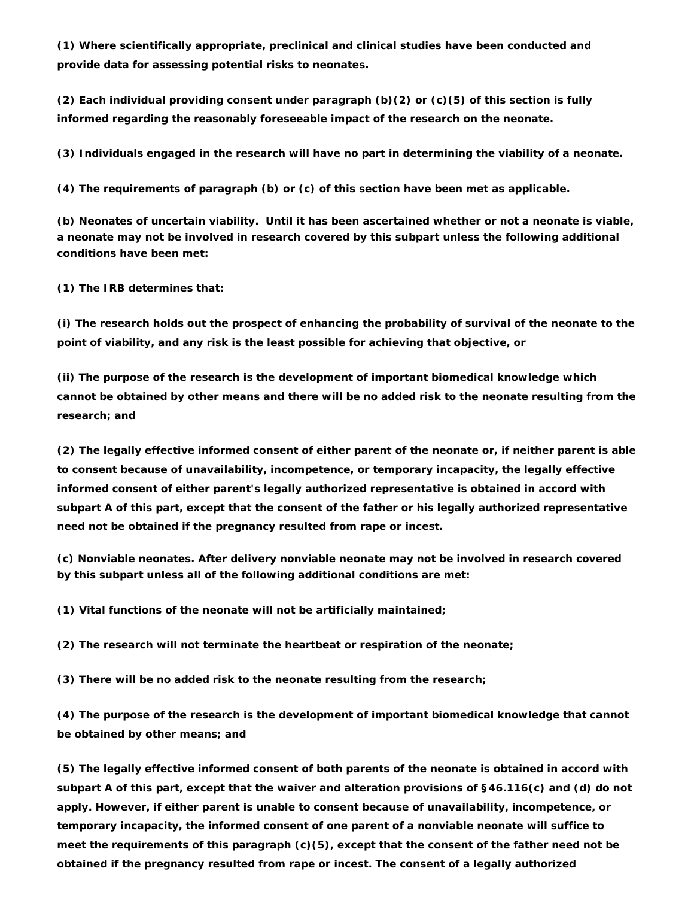**(1) Where scientifically appropriate, preclinical and clinical studies have been conducted and provide data for assessing potential risks to neonates.**

**(2) Each individual providing consent under paragraph (b)(2) or (c)(5) of this section is fully informed regarding the reasonably foreseeable impact of the research on the neonate.**

**(3) Individuals engaged in the research will have no part in determining the viability of a neonate.**

**(4) The requirements of paragraph (b) or (c) of this section have been met as applicable.**

**(b) Neonates of uncertain viability. Until it has been ascertained whether or not a neonate is viable, a neonate may not be involved in research covered by this subpart unless the following additional conditions have been met:**

**(1) The IRB determines that:**

**(i) The research holds out the prospect of enhancing the probability of survival of the neonate to the point of viability, and any risk is the least possible for achieving that objective, or**

**(ii) The purpose of the research is the development of important biomedical knowledge which cannot be obtained by other means and there will be no added risk to the neonate resulting from the research; and**

**(2) The legally effective informed consent of either parent of the neonate or, if neither parent is able to consent because of unavailability, incompetence, or temporary incapacity, the legally effective informed consent of either parent's legally authorized representative is obtained in accord with subpart A of this part, except that the consent of the father or his legally authorized representative need not be obtained if the pregnancy resulted from rape or incest.**

**(c) Nonviable neonates. After delivery nonviable neonate may not be involved in research covered by this subpart unless all of the following additional conditions are met:**

**(1) Vital functions of the neonate will not be artificially maintained;**

**(2) The research will not terminate the heartbeat or respiration of the neonate;**

**(3) There will be no added risk to the neonate resulting from the research;**

**(4) The purpose of the research is the development of important biomedical knowledge that cannot be obtained by other means; and**

**(5) The legally effective informed consent of both parents of the neonate is obtained in accord with subpart A of this part, except that the waiver and alteration provisions of §46.116(c) and (d) do not apply. However, if either parent is unable to consent because of unavailability, incompetence, or temporary incapacity, the informed consent of one parent of a nonviable neonate will suffice to meet the requirements of this paragraph (c)(5), except that the consent of the father need not be obtained if the pregnancy resulted from rape or incest. The consent of a legally authorized**